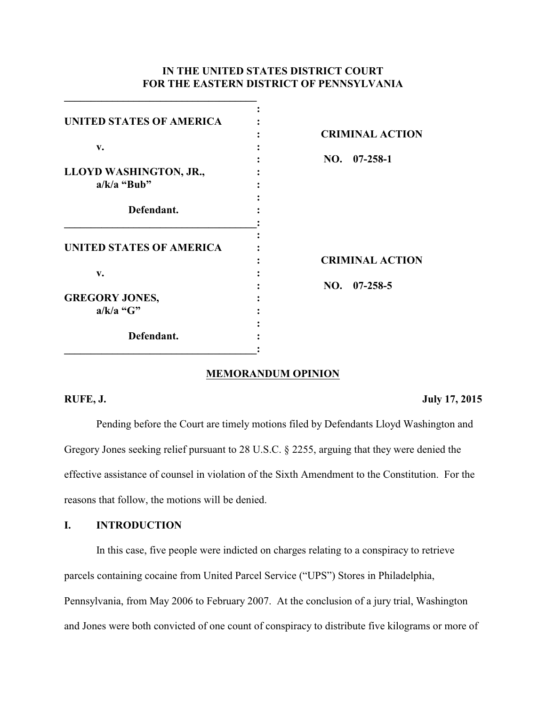# **IN THE UNITED STATES DISTRICT COURT FOR THE EASTERN DISTRICT OF PENNSYLVANIA**

| <b>UNITED STATES OF AMERICA</b> |                        |
|---------------------------------|------------------------|
|                                 | <b>CRIMINAL ACTION</b> |
| v.                              |                        |
|                                 | $NO.$ $07-258-1$       |
| LLOYD WASHINGTON, JR.,          |                        |
| $a/k/a$ "Bub"                   |                        |
|                                 |                        |
| Defendant.                      |                        |
|                                 |                        |
|                                 |                        |
| <b>UNITED STATES OF AMERICA</b> | <b>CRIMINAL ACTION</b> |
| v.                              |                        |
|                                 | $NO.$ 07-258-5         |
| <b>GREGORY JONES,</b>           |                        |
| $a/k/a$ "G"                     |                        |
|                                 |                        |
| Defendant.                      |                        |
|                                 |                        |

**\_\_\_\_\_\_\_\_\_\_\_\_\_\_\_\_\_\_\_\_\_\_\_\_\_\_\_\_\_\_\_\_\_\_\_\_**

#### **MEMORANDUM OPINION**

#### **RUFE, J.** July 17, 2015

Pending before the Court are timely motions filed by Defendants Lloyd Washington and Gregory Jones seeking relief pursuant to 28 U.S.C. § 2255, arguing that they were denied the effective assistance of counsel in violation of the Sixth Amendment to the Constitution. For the reasons that follow, the motions will be denied.

# **I. INTRODUCTION**

In this case, five people were indicted on charges relating to a conspiracy to retrieve parcels containing cocaine from United Parcel Service ("UPS") Stores in Philadelphia, Pennsylvania, from May 2006 to February 2007. At the conclusion of a jury trial, Washington and Jones were both convicted of one count of conspiracy to distribute five kilograms or more of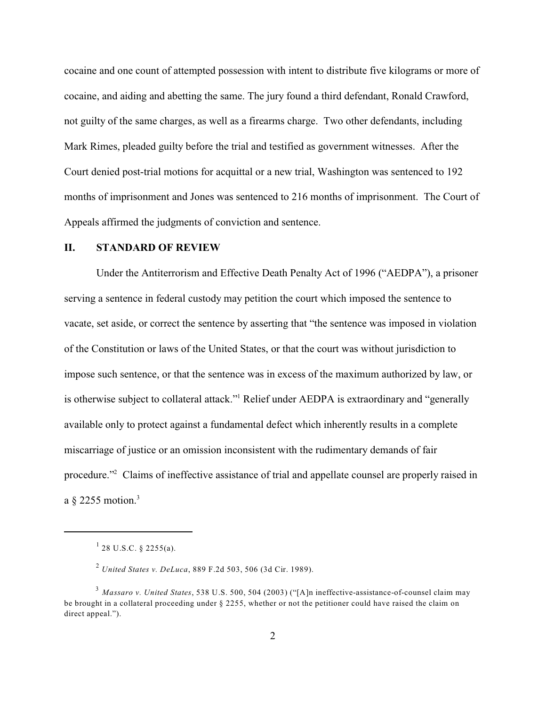cocaine and one count of attempted possession with intent to distribute five kilograms or more of cocaine, and aiding and abetting the same. The jury found a third defendant, Ronald Crawford, not guilty of the same charges, as well as a firearms charge. Two other defendants, including Mark Rimes, pleaded guilty before the trial and testified as government witnesses. After the Court denied post-trial motions for acquittal or a new trial, Washington was sentenced to 192 months of imprisonment and Jones was sentenced to 216 months of imprisonment. The Court of Appeals affirmed the judgments of conviction and sentence.

#### **II. STANDARD OF REVIEW**

Under the Antiterrorism and Effective Death Penalty Act of 1996 ("AEDPA"), a prisoner serving a sentence in federal custody may petition the court which imposed the sentence to vacate, set aside, or correct the sentence by asserting that "the sentence was imposed in violation of the Constitution or laws of the United States, or that the court was without jurisdiction to impose such sentence, or that the sentence was in excess of the maximum authorized by law, or is otherwise subject to collateral attack." Relief under AEDPA is extraordinary and "generally available only to protect against a fundamental defect which inherently results in a complete miscarriage of justice or an omission inconsistent with the rudimentary demands of fair procedure."<sup>2</sup> Claims of ineffective assistance of trial and appellate counsel are properly raised in a  $\S$  2255 motion.<sup>3</sup>

 $^{1}$  28 U.S.C. § 2255(a).

*United States v. DeLuca*, 889 F.2d 503, 506 (3d Cir. 1989). 2

*Massaro v. United States*, 538 U.S. 500, 504 (2003) ("[A]n ineffective-assistance-of-counsel claim may 3 be brought in a collateral proceeding under § 2255, whether or not the petitioner could have raised the claim on direct appeal.").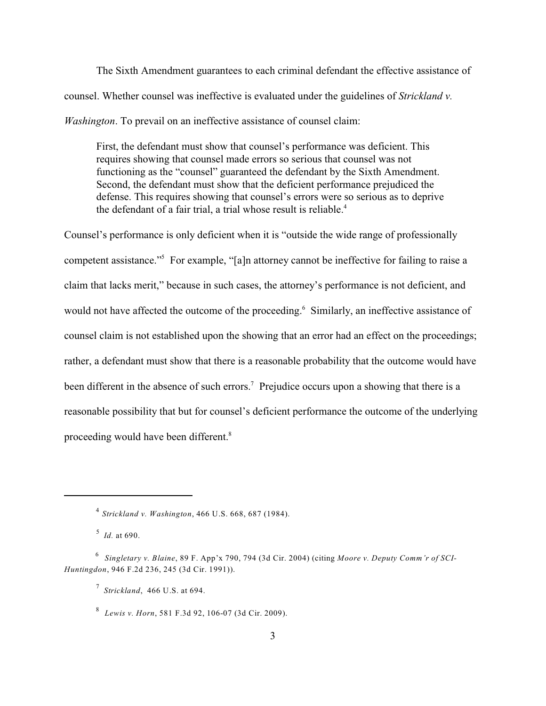The Sixth Amendment guarantees to each criminal defendant the effective assistance of counsel. Whether counsel was ineffective is evaluated under the guidelines of *Strickland v. Washington*. To prevail on an ineffective assistance of counsel claim:

First, the defendant must show that counsel's performance was deficient. This requires showing that counsel made errors so serious that counsel was not functioning as the "counsel" guaranteed the defendant by the Sixth Amendment. Second, the defendant must show that the deficient performance prejudiced the defense. This requires showing that counsel's errors were so serious as to deprive the defendant of a fair trial, a trial whose result is reliable.<sup>4</sup>

Counsel's performance is only deficient when it is "outside the wide range of professionally competent assistance."<sup>5</sup> For example, "[a]n attorney cannot be ineffective for failing to raise a claim that lacks merit," because in such cases, the attorney's performance is not deficient, and would not have affected the outcome of the proceeding.<sup>6</sup> Similarly, an ineffective assistance of counsel claim is not established upon the showing that an error had an effect on the proceedings; rather, a defendant must show that there is a reasonable probability that the outcome would have been different in the absence of such errors.<sup>7</sup> Prejudice occurs upon a showing that there is a reasonable possibility that but for counsel's deficient performance the outcome of the underlying proceeding would have been different.<sup>8</sup>

*Strickland v. Washington*, 466 U.S. 668, 687 (1984). 4

<sup>&</sup>lt;sup>5</sup> *Id.* at 690.

*Singletary v. Blaine*, 89 F. App'x 790, 794 (3d Cir. 2004) (citing *Moore v. Deputy Comm'r of SCI-*6 *Huntingdon*, 946 F.2d 236, 245 (3d Cir. 1991)).

*Strickland*, 466 U.S. at 694. 7

*Lewis v. Horn*, 581 F.3d 92, 106-07 (3d Cir. 2009). 8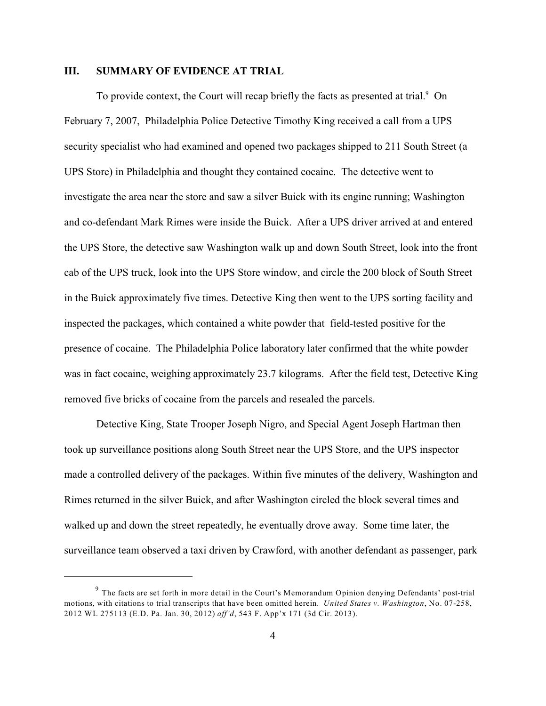#### **III. SUMMARY OF EVIDENCE AT TRIAL**

To provide context, the Court will recap briefly the facts as presented at trial.<sup>9</sup> On February 7, 2007, Philadelphia Police Detective Timothy King received a call from a UPS security specialist who had examined and opened two packages shipped to 211 South Street (a UPS Store) in Philadelphia and thought they contained cocaine. The detective went to investigate the area near the store and saw a silver Buick with its engine running; Washington and co-defendant Mark Rimes were inside the Buick. After a UPS driver arrived at and entered the UPS Store, the detective saw Washington walk up and down South Street, look into the front cab of the UPS truck, look into the UPS Store window, and circle the 200 block of South Street in the Buick approximately five times. Detective King then went to the UPS sorting facility and inspected the packages, which contained a white powder that field-tested positive for the presence of cocaine. The Philadelphia Police laboratory later confirmed that the white powder was in fact cocaine, weighing approximately 23.7 kilograms. After the field test, Detective King removed five bricks of cocaine from the parcels and resealed the parcels.

Detective King, State Trooper Joseph Nigro, and Special Agent Joseph Hartman then took up surveillance positions along South Street near the UPS Store, and the UPS inspector made a controlled delivery of the packages. Within five minutes of the delivery, Washington and Rimes returned in the silver Buick, and after Washington circled the block several times and walked up and down the street repeatedly, he eventually drove away. Some time later, the surveillance team observed a taxi driven by Crawford, with another defendant as passenger, park

 $9$  The facts are set forth in more detail in the Court's Memorandum Opinion denying Defendants' post-trial motions, with citations to trial transcripts that have been omitted herein. *United States v. Washington*, No. 07-258, 2012 WL 275113 (E.D. Pa. Jan. 30, 2012) *aff'd*, 543 F. App'x 171 (3d Cir. 2013).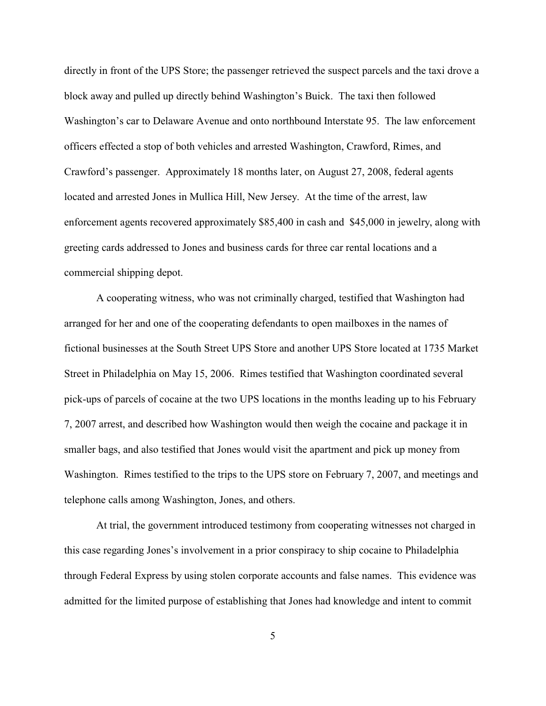directly in front of the UPS Store; the passenger retrieved the suspect parcels and the taxi drove a block away and pulled up directly behind Washington's Buick. The taxi then followed Washington's car to Delaware Avenue and onto northbound Interstate 95. The law enforcement officers effected a stop of both vehicles and arrested Washington, Crawford, Rimes, and Crawford's passenger. Approximately 18 months later, on August 27, 2008, federal agents located and arrested Jones in Mullica Hill, New Jersey. At the time of the arrest, law enforcement agents recovered approximately \$85,400 in cash and \$45,000 in jewelry, along with greeting cards addressed to Jones and business cards for three car rental locations and a commercial shipping depot.

A cooperating witness, who was not criminally charged, testified that Washington had arranged for her and one of the cooperating defendants to open mailboxes in the names of fictional businesses at the South Street UPS Store and another UPS Store located at 1735 Market Street in Philadelphia on May 15, 2006. Rimes testified that Washington coordinated several pick-ups of parcels of cocaine at the two UPS locations in the months leading up to his February 7, 2007 arrest, and described how Washington would then weigh the cocaine and package it in smaller bags, and also testified that Jones would visit the apartment and pick up money from Washington. Rimes testified to the trips to the UPS store on February 7, 2007, and meetings and telephone calls among Washington, Jones, and others.

At trial, the government introduced testimony from cooperating witnesses not charged in this case regarding Jones's involvement in a prior conspiracy to ship cocaine to Philadelphia through Federal Express by using stolen corporate accounts and false names. This evidence was admitted for the limited purpose of establishing that Jones had knowledge and intent to commit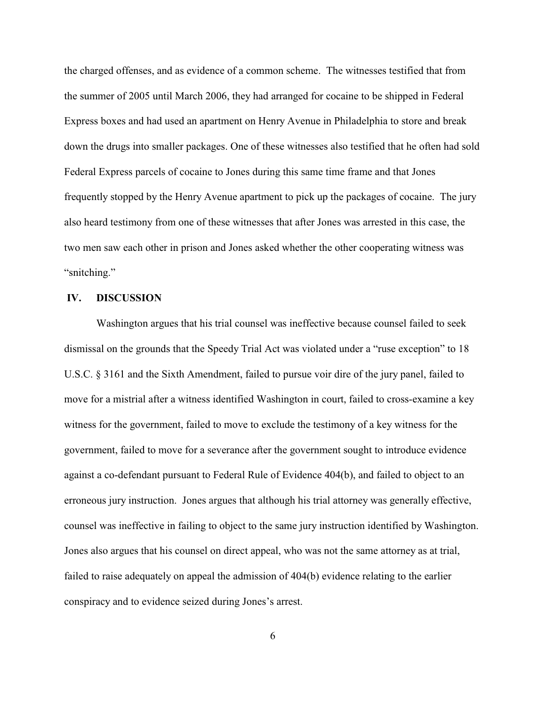the charged offenses, and as evidence of a common scheme. The witnesses testified that from the summer of 2005 until March 2006, they had arranged for cocaine to be shipped in Federal Express boxes and had used an apartment on Henry Avenue in Philadelphia to store and break down the drugs into smaller packages. One of these witnesses also testified that he often had sold Federal Express parcels of cocaine to Jones during this same time frame and that Jones frequently stopped by the Henry Avenue apartment to pick up the packages of cocaine. The jury also heard testimony from one of these witnesses that after Jones was arrested in this case, the two men saw each other in prison and Jones asked whether the other cooperating witness was "snitching."

#### **IV. DISCUSSION**

Washington argues that his trial counsel was ineffective because counsel failed to seek dismissal on the grounds that the Speedy Trial Act was violated under a "ruse exception" to 18 U.S.C. § 3161 and the Sixth Amendment, failed to pursue voir dire of the jury panel, failed to move for a mistrial after a witness identified Washington in court, failed to cross-examine a key witness for the government, failed to move to exclude the testimony of a key witness for the government, failed to move for a severance after the government sought to introduce evidence against a co-defendant pursuant to Federal Rule of Evidence 404(b), and failed to object to an erroneous jury instruction. Jones argues that although his trial attorney was generally effective, counsel was ineffective in failing to object to the same jury instruction identified by Washington. Jones also argues that his counsel on direct appeal, who was not the same attorney as at trial, failed to raise adequately on appeal the admission of 404(b) evidence relating to the earlier conspiracy and to evidence seized during Jones's arrest.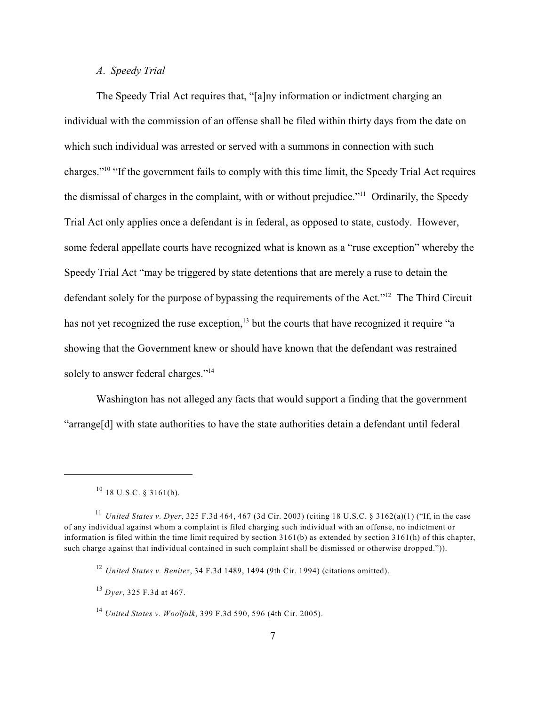#### *A*. *Speedy Trial*

The Speedy Trial Act requires that, "[a]ny information or indictment charging an individual with the commission of an offense shall be filed within thirty days from the date on which such individual was arrested or served with a summons in connection with such charges."<sup>10</sup> "If the government fails to comply with this time limit, the Speedy Trial Act requires the dismissal of charges in the complaint, with or without prejudice."<sup>11</sup> Ordinarily, the Speedy Trial Act only applies once a defendant is in federal, as opposed to state, custody. However, some federal appellate courts have recognized what is known as a "ruse exception" whereby the Speedy Trial Act "may be triggered by state detentions that are merely a ruse to detain the defendant solely for the purpose of bypassing the requirements of the Act."<sup>12</sup> The Third Circuit has not yet recognized the ruse exception, $\frac{13}{3}$  but the courts that have recognized it require "a showing that the Government knew or should have known that the defendant was restrained solely to answer federal charges."<sup>14</sup>

Washington has not alleged any facts that would support a finding that the government "arrange[d] with state authorities to have the state authorities detain a defendant until federal

 $^{10}$  18 U.S.C. § 3161(b).

*United States v. Dyer*, 325 F.3d 464, 467 (3d Cir. 2003) (citing 18 U.S.C. § 3162(a)(1) ("If, in the case 11 of any individual against whom a complaint is filed charging such individual with an offense, no indictment or information is filed within the time limit required by section 3161(b) as extended by section 3161(h) of this chapter, such charge against that individual contained in such complaint shall be dismissed or otherwise dropped.")).

*United States v. Benitez*, 34 F.3d 1489, 1494 (9th Cir. 1994) (citations omitted). 12

*Dyer*, 325 F.3d at 467. 13

*United States v. Woolfolk*, 399 F.3d 590, 596 (4th Cir. 2005). 14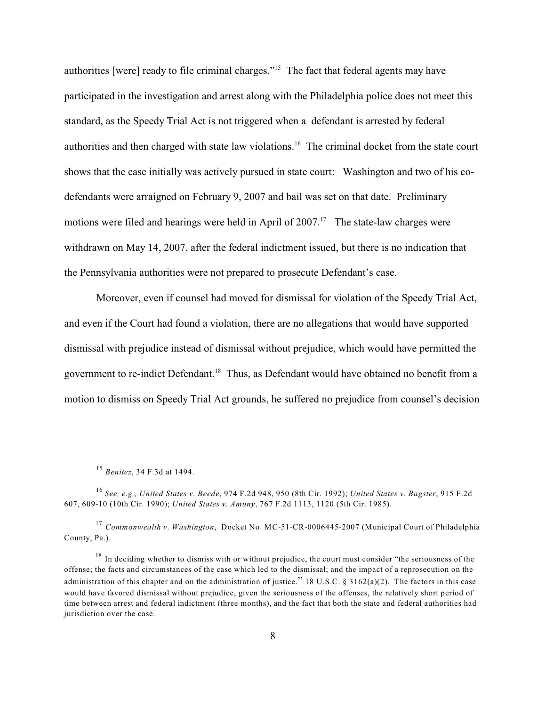authorities [were] ready to file criminal charges."<sup>15</sup> The fact that federal agents may have participated in the investigation and arrest along with the Philadelphia police does not meet this standard, as the Speedy Trial Act is not triggered when a defendant is arrested by federal authorities and then charged with state law violations.<sup>16</sup> The criminal docket from the state court shows that the case initially was actively pursued in state court: Washington and two of his codefendants were arraigned on February 9, 2007 and bail was set on that date. Preliminary motions were filed and hearings were held in April of  $2007$ .<sup>17</sup> The state-law charges were withdrawn on May 14, 2007, after the federal indictment issued, but there is no indication that the Pennsylvania authorities were not prepared to prosecute Defendant's case.

Moreover, even if counsel had moved for dismissal for violation of the Speedy Trial Act, and even if the Court had found a violation, there are no allegations that would have supported dismissal with prejudice instead of dismissal without prejudice, which would have permitted the government to re-indict Defendant.<sup>18</sup> Thus, as Defendant would have obtained no benefit from a motion to dismiss on Speedy Trial Act grounds, he suffered no prejudice from counsel's decision

<sup>&</sup>lt;sup>15</sup> Benitez, 34 F.3d at 1494.

*See, e.g., United States v. Beede*, 974 F.2d 948, 950 (8th Cir. 1992); *United States v. Bagster*, 915 F.2d 16 607, 609-10 (10th Cir. 1990); *United States v. Amuny*, 767 F.2d 1113, 1120 (5th Cir. 1985).

*Commonwealth v. Washington*, Docket No. MC-51-CR-0006445-2007 (Municipal Court of Philadelphia 17 County, Pa.).

 $18$  In deciding whether to dismiss with or without prejudice, the court must consider "the seriousness of the offense; the facts and circumstances of the case which led to the dismissal; and the impact of a reprosecution on the administration of this chapter and on the administration of justice." 18 U.S.C. § 3162(a)(2). The factors in this case would have favored dismissal without prejudice, given the seriousness of the offenses, the relatively short period of time between arrest and federal indictment (three months), and the fact that both the state and federal authorities had jurisdiction over the case.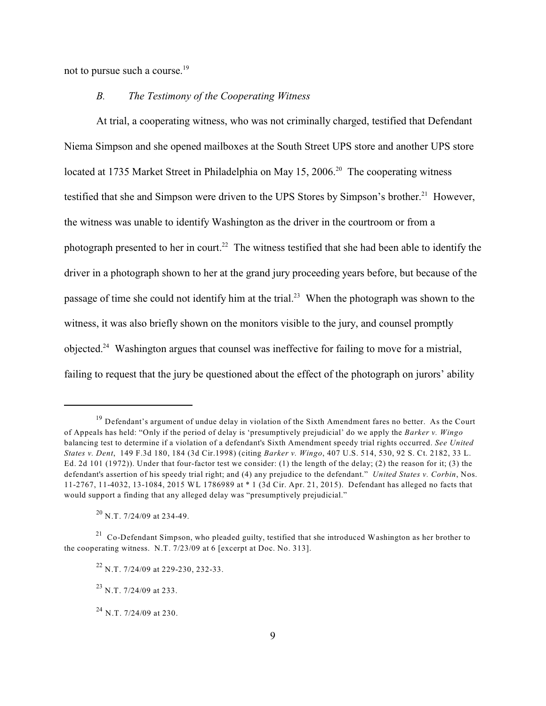not to pursue such a course.<sup>19</sup>

## *B. The Testimony of the Cooperating Witness*

At trial, a cooperating witness, who was not criminally charged, testified that Defendant Niema Simpson and she opened mailboxes at the South Street UPS store and another UPS store located at 1735 Market Street in Philadelphia on May 15, 2006.<sup>20</sup> The cooperating witness testified that she and Simpson were driven to the UPS Stores by Simpson's brother.<sup>21</sup> However, the witness was unable to identify Washington as the driver in the courtroom or from a photograph presented to her in court.<sup>22</sup> The witness testified that she had been able to identify the driver in a photograph shown to her at the grand jury proceeding years before, but because of the passage of time she could not identify him at the trial.<sup>23</sup> When the photograph was shown to the witness, it was also briefly shown on the monitors visible to the jury, and counsel promptly objected.<sup>24</sup> Washington argues that counsel was ineffective for failing to move for a mistrial, failing to request that the jury be questioned about the effect of the photograph on jurors' ability

 $^{20}$  N.T. 7/24/09 at 234-49.

<sup>&</sup>lt;sup>19</sup> Defendant's argument of undue delay in violation of the Sixth Amendment fares no better. As the Court of Appeals has held: "Only if the period of delay is 'presumptively prejudicial' do we apply the *Barker v. Wingo* balancing test to determine if a violation of a defendant's Sixth Amendment speedy trial rights occurred. *See United States v. Dent*, 149 F.3d 180, 184 (3d Cir.1998) (citing *Barker v. Wingo*, 407 U.S. 514, 530, 92 S. Ct. 2182, 33 L. Ed. 2d 101 (1972)). Under that four-factor test we consider: (1) the length of the delay; (2) the reason for it; (3) the defendant's assertion of his speedy trial right; and (4) any prejudice to the defendant." *United States v. Corbin*, Nos. 11-2767, 11-4032, 13-1084, 2015 WL 1786989 at \* 1 (3d Cir. Apr. 21, 2015). Defendant has alleged no facts that would support a finding that any alleged delay was "presumptively prejudicial."

 $^{21}$  Co-Defendant Simpson, who pleaded guilty, testified that she introduced Washington as her brother to the cooperating witness. N.T. 7/23/09 at 6 [excerpt at Doc. No. 313].

 $^{22}$  N.T. 7/24/09 at 229-230, 232-33.

 $^{23}$  N.T. 7/24/09 at 233.

 $^{24}$  N.T. 7/24/09 at 230.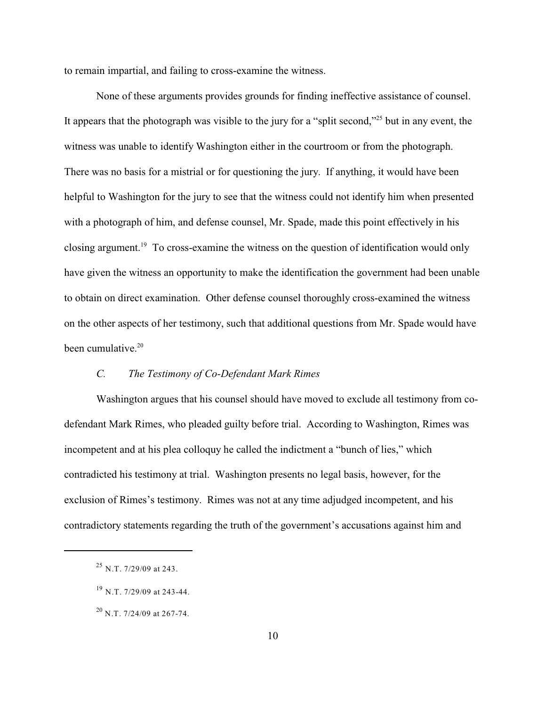to remain impartial, and failing to cross-examine the witness.

None of these arguments provides grounds for finding ineffective assistance of counsel. It appears that the photograph was visible to the jury for a "split second,"<sup>25</sup> but in any event, the witness was unable to identify Washington either in the courtroom or from the photograph. There was no basis for a mistrial or for questioning the jury. If anything, it would have been helpful to Washington for the jury to see that the witness could not identify him when presented with a photograph of him, and defense counsel, Mr. Spade, made this point effectively in his closing argument.<sup>19</sup> To cross-examine the witness on the question of identification would only have given the witness an opportunity to make the identification the government had been unable to obtain on direct examination. Other defense counsel thoroughly cross-examined the witness on the other aspects of her testimony, such that additional questions from Mr. Spade would have been cumulative. $20$ 

## *C. The Testimony of Co-Defendant Mark Rimes*

Washington argues that his counsel should have moved to exclude all testimony from codefendant Mark Rimes, who pleaded guilty before trial. According to Washington, Rimes was incompetent and at his plea colloquy he called the indictment a "bunch of lies," which contradicted his testimony at trial. Washington presents no legal basis, however, for the exclusion of Rimes's testimony. Rimes was not at any time adjudged incompetent, and his contradictory statements regarding the truth of the government's accusations against him and

 $^{25}$  N.T. 7/29/09 at 243.

 $^{19}$  N.T. 7/29/09 at 243-44.

 $^{20}$  N.T. 7/24/09 at 267-74.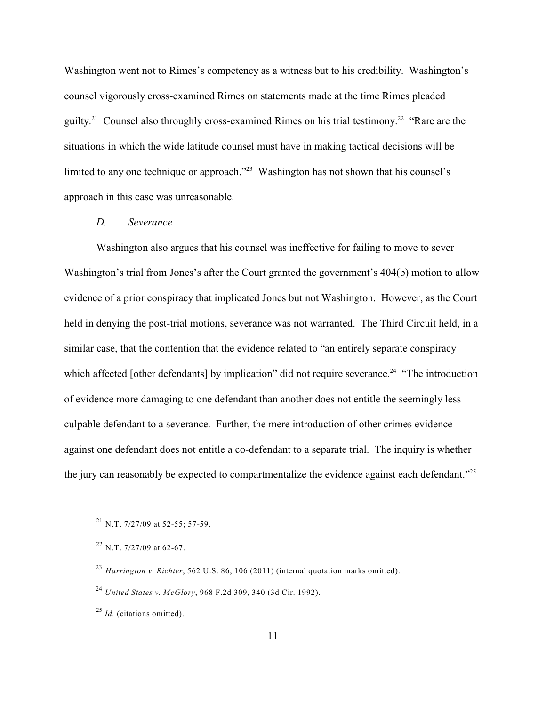Washington went not to Rimes's competency as a witness but to his credibility. Washington's counsel vigorously cross-examined Rimes on statements made at the time Rimes pleaded guilty.<sup>21</sup> Counsel also throughly cross-examined Rimes on his trial testimony.<sup>22</sup> "Rare are the situations in which the wide latitude counsel must have in making tactical decisions will be limited to any one technique or approach."<sup>23</sup> Washington has not shown that his counsel's approach in this case was unreasonable.

#### *D. Severance*

Washington also argues that his counsel was ineffective for failing to move to sever Washington's trial from Jones's after the Court granted the government's 404(b) motion to allow evidence of a prior conspiracy that implicated Jones but not Washington. However, as the Court held in denying the post-trial motions, severance was not warranted. The Third Circuit held, in a similar case, that the contention that the evidence related to "an entirely separate conspiracy which affected [other defendants] by implication" did not require severance.<sup>24</sup> "The introduction" of evidence more damaging to one defendant than another does not entitle the seemingly less culpable defendant to a severance. Further, the mere introduction of other crimes evidence against one defendant does not entitle a co-defendant to a separate trial. The inquiry is whether the jury can reasonably be expected to compartmentalize the evidence against each defendant."<sup>25</sup>

 $^{21}$  N.T. 7/27/09 at 52-55; 57-59.

 $^{22}$  N.T. 7/27/09 at 62-67.

*Harrington v. Richter*, 562 U.S. 86, 106 (2011) (internal quotation marks omitted). 23

*United States v. McGlory*, 968 F.2d 309, 340 (3d Cir. 1992). 24

<sup>&</sup>lt;sup>25</sup> *Id.* (citations omitted).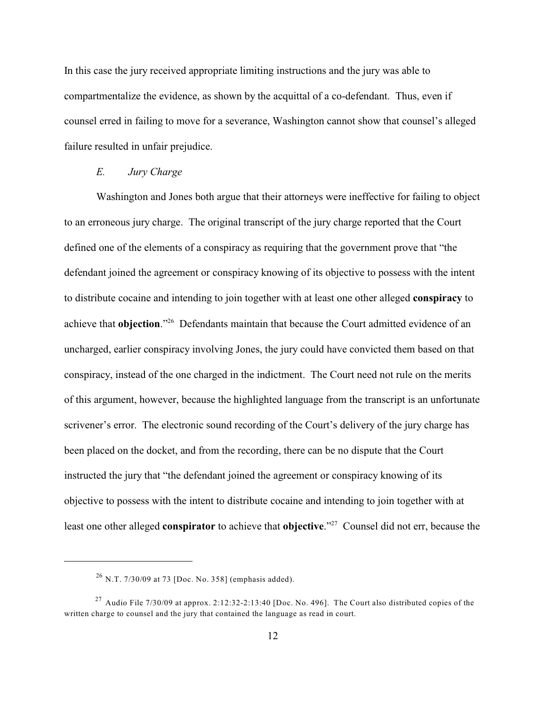In this case the jury received appropriate limiting instructions and the jury was able to compartmentalize the evidence, as shown by the acquittal of a co-defendant. Thus, even if counsel erred in failing to move for a severance, Washington cannot show that counsel's alleged failure resulted in unfair prejudice.

#### *E. Jury Charge*

Washington and Jones both argue that their attorneys were ineffective for failing to object to an erroneous jury charge. The original transcript of the jury charge reported that the Court defined one of the elements of a conspiracy as requiring that the government prove that "the defendant joined the agreement or conspiracy knowing of its objective to possess with the intent to distribute cocaine and intending to join together with at least one other alleged **conspiracy** to achieve that **objection**."<sup>26</sup> Defendants maintain that because the Court admitted evidence of an uncharged, earlier conspiracy involving Jones, the jury could have convicted them based on that conspiracy, instead of the one charged in the indictment. The Court need not rule on the merits of this argument, however, because the highlighted language from the transcript is an unfortunate scrivener's error. The electronic sound recording of the Court's delivery of the jury charge has been placed on the docket, and from the recording, there can be no dispute that the Court instructed the jury that "the defendant joined the agreement or conspiracy knowing of its objective to possess with the intent to distribute cocaine and intending to join together with at least one other alleged **conspirator** to achieve that **objective**."<sup>27</sup> Counsel did not err, because the

 $^{26}$  N.T. 7/30/09 at 73 [Doc. No. 358] (emphasis added).

<sup>&</sup>lt;sup>27</sup> Audio File 7/30/09 at approx. 2:12:32-2:13:40 [Doc. No. 496]. The Court also distributed copies of the written charge to counsel and the jury that contained the language as read in court.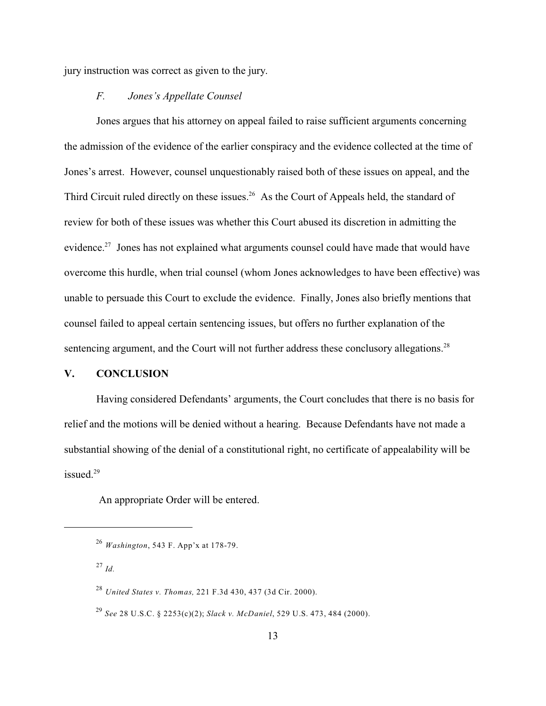jury instruction was correct as given to the jury.

## *F. Jones's Appellate Counsel*

Jones argues that his attorney on appeal failed to raise sufficient arguments concerning the admission of the evidence of the earlier conspiracy and the evidence collected at the time of Jones's arrest. However, counsel unquestionably raised both of these issues on appeal, and the Third Circuit ruled directly on these issues.<sup>26</sup> As the Court of Appeals held, the standard of review for both of these issues was whether this Court abused its discretion in admitting the evidence.<sup>27</sup> Jones has not explained what arguments counsel could have made that would have overcome this hurdle, when trial counsel (whom Jones acknowledges to have been effective) was unable to persuade this Court to exclude the evidence. Finally, Jones also briefly mentions that counsel failed to appeal certain sentencing issues, but offers no further explanation of the sentencing argument, and the Court will not further address these conclusory allegations.<sup>28</sup>

## **V. CONCLUSION**

Having considered Defendants' arguments, the Court concludes that there is no basis for relief and the motions will be denied without a hearing. Because Defendants have not made a substantial showing of the denial of a constitutional right, no certificate of appealability will be issued.<sup>29</sup>

An appropriate Order will be entered.

*Washington*, 543 F. App'x at 178-79. 26

 $^{27}$  *Id.* 

*United States v. Thomas,* 221 F.3d 430, 437 (3d Cir. 2000). 28

*See* 28 U.S.C. § 2253(c)(2); *Slack v. McDaniel*, 529 U.S. 473, 484 (2000). 29